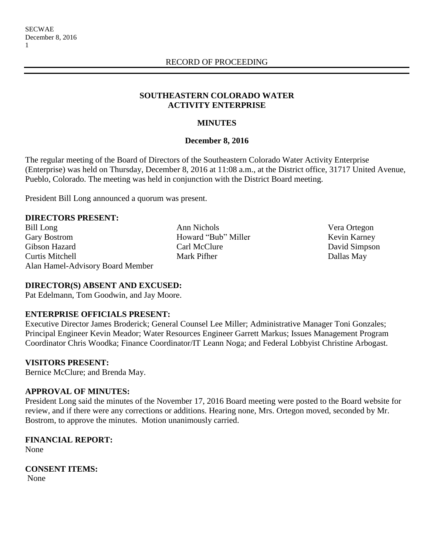#### **SOUTHEASTERN COLORADO WATER ACTIVITY ENTERPRISE**

# **MINUTES**

#### **December 8, 2016**

The regular meeting of the Board of Directors of the Southeastern Colorado Water Activity Enterprise (Enterprise) was held on Thursday, December 8, 2016 at 11:08 a.m., at the District office, 31717 United Avenue, Pueblo, Colorado. The meeting was held in conjunction with the District Board meeting.

President Bill Long announced a quorum was present.

#### **DIRECTORS PRESENT:**

Bill Long Ann Nichols Nera Ortegon Gary Bostrom **Howard "Bub" Miller** Kevin Karney Gibson Hazard Carl McClure David Simpson Curtis Mitchell Mark Pifher Dallas May Alan Hamel-Advisory Board Member

# **DIRECTOR(S) ABSENT AND EXCUSED:**

Pat Edelmann, Tom Goodwin, and Jay Moore.

# **ENTERPRISE OFFICIALS PRESENT:**

Executive Director James Broderick; General Counsel Lee Miller; Administrative Manager Toni Gonzales; Principal Engineer Kevin Meador; Water Resources Engineer Garrett Markus; Issues Management Program Coordinator Chris Woodka; Finance Coordinator/IT Leann Noga; and Federal Lobbyist Christine Arbogast.

# **VISITORS PRESENT:**

Bernice McClure; and Brenda May.

# **APPROVAL OF MINUTES:**

President Long said the minutes of the November 17, 2016 Board meeting were posted to the Board website for review, and if there were any corrections or additions. Hearing none, Mrs. Ortegon moved, seconded by Mr. Bostrom, to approve the minutes. Motion unanimously carried.

# **FINANCIAL REPORT:**

None

**CONSENT ITEMS:**

None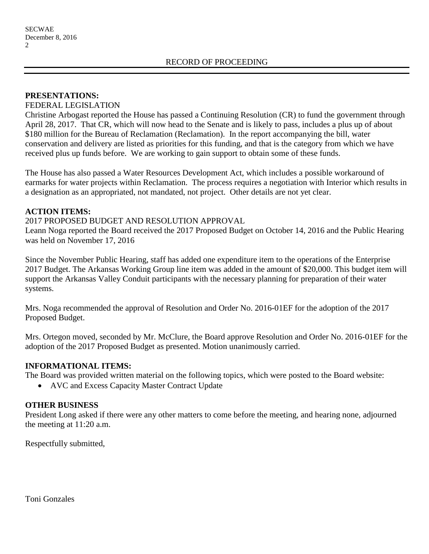#### **PRESENTATIONS:**

#### FEDERAL LEGISLATION

Christine Arbogast reported the House has passed a Continuing Resolution (CR) to fund the government through April 28, 2017. That CR, which will now head to the Senate and is likely to pass, includes a plus up of about \$180 million for the Bureau of Reclamation (Reclamation). In the report accompanying the bill, water conservation and delivery are listed as priorities for this funding, and that is the category from which we have received plus up funds before. We are working to gain support to obtain some of these funds.

The House has also passed a Water Resources Development Act, which includes a possible workaround of earmarks for water projects within Reclamation. The process requires a negotiation with Interior which results in a designation as an appropriated, not mandated, not project. Other details are not yet clear.

# **ACTION ITEMS:**

#### 2017 PROPOSED BUDGET AND RESOLUTION APPROVAL

Leann Noga reported the Board received the 2017 Proposed Budget on October 14, 2016 and the Public Hearing was held on November 17, 2016

Since the November Public Hearing, staff has added one expenditure item to the operations of the Enterprise 2017 Budget. The Arkansas Working Group line item was added in the amount of \$20,000. This budget item will support the Arkansas Valley Conduit participants with the necessary planning for preparation of their water systems.

Mrs. Noga recommended the approval of Resolution and Order No. 2016-01EF for the adoption of the 2017 Proposed Budget.

Mrs. Ortegon moved, seconded by Mr. McClure, the Board approve Resolution and Order No. 2016-01EF for the adoption of the 2017 Proposed Budget as presented. Motion unanimously carried.

# **INFORMATIONAL ITEMS:**

The Board was provided written material on the following topics, which were posted to the Board website:

• AVC and Excess Capacity Master Contract Update

#### **OTHER BUSINESS**

President Long asked if there were any other matters to come before the meeting, and hearing none, adjourned the meeting at 11:20 a.m.

Respectfully submitted,

Toni Gonzales